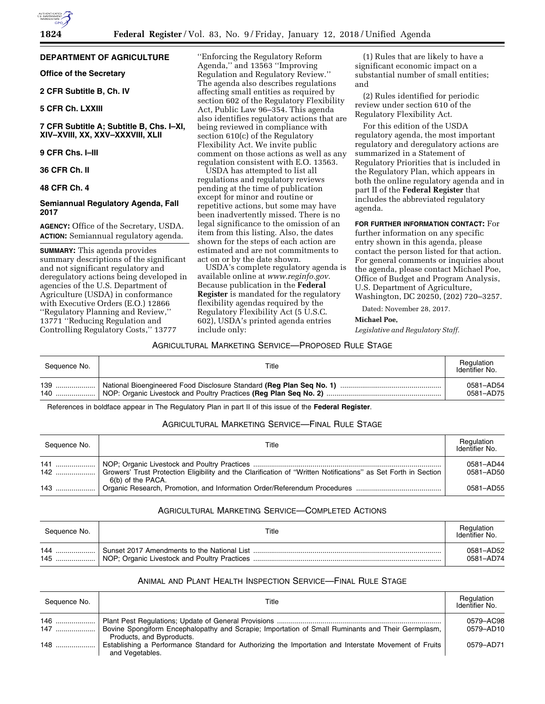# **DEPARTMENT OF AGRICULTURE**

**Office of the Secretary** 

**2 CFR Subtitle B, Ch. IV** 

# **5 CFR Ch. LXXIII**

**7 CFR Subtitle A; Subtitle B, Chs. I–XI, XIV–XVIII, XX, XXV–XXXVIII, XLII** 

#### **9 CFR Chs. I–III**

#### **36 CFR Ch. II**

**48 CFR Ch. 4** 

# **Semiannual Regulatory Agenda, Fall 2017**

**AGENCY:** Office of the Secretary, USDA. **ACTION:** Semiannual regulatory agenda.

**SUMMARY:** This agenda provides summary descriptions of the significant and not significant regulatory and deregulatory actions being developed in agencies of the U.S. Department of Agriculture (USDA) in conformance with Executive Orders (E.O.) 12866 ''Regulatory Planning and Review,'' 13771 ''Reducing Regulation and Controlling Regulatory Costs,'' 13777

''Enforcing the Regulatory Reform Agenda,'' and 13563 ''Improving Regulation and Regulatory Review.'' The agenda also describes regulations affecting small entities as required by section 602 of the Regulatory Flexibility Act, Public Law 96–354. This agenda also identifies regulatory actions that are being reviewed in compliance with section 610(c) of the Regulatory Flexibility Act. We invite public comment on those actions as well as any regulation consistent with E.O. 13563.

USDA has attempted to list all regulations and regulatory reviews pending at the time of publication except for minor and routine or repetitive actions, but some may have been inadvertently missed. There is no legal significance to the omission of an item from this listing. Also, the dates shown for the steps of each action are estimated and are not commitments to act on or by the date shown.

USDA's complete regulatory agenda is available online at *[www.reginfo.gov.](http://www.reginfo.gov)*  Because publication in the **Federal Register** is mandated for the regulatory flexibility agendas required by the Regulatory Flexibility Act (5 U.S.C. 602), USDA's printed agenda entries include only:

(1) Rules that are likely to have a significant economic impact on a substantial number of small entities; and

(2) Rules identified for periodic review under section 610 of the Regulatory Flexibility Act.

For this edition of the USDA regulatory agenda, the most important regulatory and deregulatory actions are summarized in a Statement of Regulatory Priorities that is included in the Regulatory Plan, which appears in both the online regulatory agenda and in part II of the **Federal Register** that includes the abbreviated regulatory agenda.

**FOR FURTHER INFORMATION CONTACT:** For further information on any specific entry shown in this agenda, please contact the person listed for that action. For general comments or inquiries about the agenda, please contact Michael Poe, Office of Budget and Program Analysis, U.S. Department of Agriculture, Washington, DC 20250, (202) 720–3257.

Dated: November 28, 2017.

#### **Michael Poe,**

*Legislative and Regulatory Staff.* 

# AGRICULTURAL MARKETING SERVICE—PROPOSED RULE STAGE

| Sequence No. | Title | Regulation<br>Identifier No. |
|--------------|-------|------------------------------|
|              |       | 0581-AD54<br>0581-AD75       |

References in boldface appear in The Regulatory Plan in part II of this issue of the **Federal Register**.

# AGRICULTURAL MARKETING SERVICE—FINAL RULE STAGE

| Sequence No. | Title             | Regulation<br>Identifier No. |
|--------------|-------------------|------------------------------|
|              | 6(b) of the PACA. | 0581-AD44<br>0581-AD50       |
|              |                   | 0581-AD55                    |

# AGRICULTURAL MARKETING SERVICE—COMPLETED ACTIONS

| Sequence No. | Title | Regulation<br>Identifier No. |
|--------------|-------|------------------------------|
| 144          |       | 0581-AD52                    |
| 145          |       | 0581-AD74                    |

# ANIMAL AND PLANT HEALTH INSPECTION SERVICE—FINAL RULE STAGE

| Sequence No. | Title                                                                                                                          | Regulation<br>Identifier No. |
|--------------|--------------------------------------------------------------------------------------------------------------------------------|------------------------------|
| 147          | Bovine Spongiform Encephalopathy and Scrapie; Importation of Small Ruminants and Their Germplasm,<br>Products, and Byproducts. | 0579-AC98<br>0579-AD10       |
| $148$        | Establishing a Performance Standard for Authorizing the Importation and Interstate Movement of Fruits<br>and Vegetables.       | 0579-AD71                    |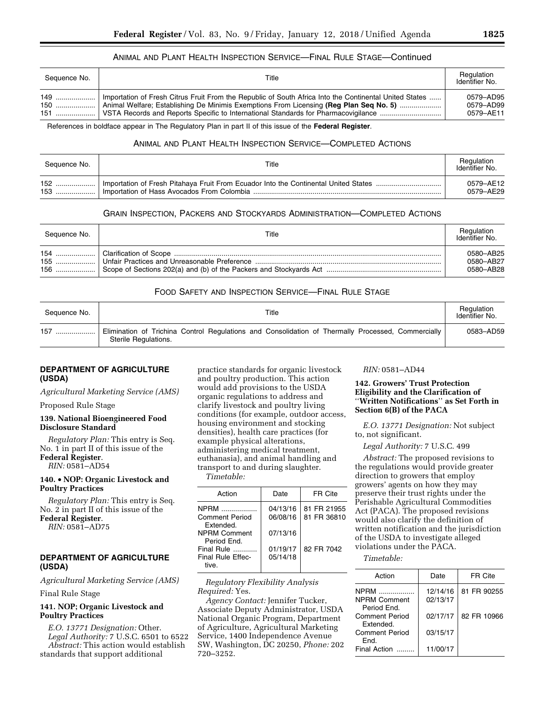# ANIMAL AND PLANT HEALTH INSPECTION SERVICE—FINAL RULE STAGE—Continued

| Sequence No. | Title                                                                                                                                                                                              | Regulation<br>Identifier No.        |
|--------------|----------------------------------------------------------------------------------------------------------------------------------------------------------------------------------------------------|-------------------------------------|
| 149<br>150   | Importation of Fresh Citrus Fruit From the Republic of South Africa Into the Continental United States<br>  Animal Welfare; Establishing De Minimis Exemptions From Licensing (Reg Plan Seg No. 5) | 0579–AD95<br>0579-AD99<br>0579-AE11 |

References in boldface appear in The Regulatory Plan in part II of this issue of the **Federal Register**.

# ANIMAL AND PLANT HEALTH INSPECTION SERVICE—COMPLETED ACTIONS

| Sequence No. | Title                                                                                 | Regulation<br>Identifier No. |
|--------------|---------------------------------------------------------------------------------------|------------------------------|
| 152          | I Importation of Fresh Pitahaya Fruit From Ecuador Into the Continental United States | 0579-AF12                    |
| $153$        | l Importation of Hass Avocados From Colombia …………………………………………………………………………             | 0579-AE29                    |

## GRAIN INSPECTION, PACKERS AND STOCKYARDS ADMINISTRATION—COMPLETED ACTIONS

| Sequence No. | Title | Regulation<br>Identifier No.        |
|--------------|-------|-------------------------------------|
|              |       | 0580-AB25<br>0580-AB27<br>0580-AB28 |

## FOOD SAFETY AND INSPECTION SERVICE—FINAL RULE STAGE

| Sequence No. | Title                                                                                                                      | Regulation<br>Identifier No. |
|--------------|----------------------------------------------------------------------------------------------------------------------------|------------------------------|
| 157<br>      | Elimination of Trichina Control Regulations and Consolidation of Thermally Processed, Commercially<br>Sterile Regulations. | 0583-AD59                    |

# **DEPARTMENT OF AGRICULTURE (USDA)**

*Agricultural Marketing Service (AMS)* 

Proposed Rule Stage

#### **139. National Bioengineered Food Disclosure Standard**

*Regulatory Plan:* This entry is Seq. No. 1 in part II of this issue of the **Federal Register**.

*RIN:* 0581–AD54

# **140.** • **NOP: Organic Livestock and Poultry Practices**

*Regulatory Plan:* This entry is Seq. No. 2 in part II of this issue of the **Federal Register**.

*RIN:* 0581–AD75

# **DEPARTMENT OF AGRICULTURE (USDA)**

*Agricultural Marketing Service (AMS)* 

Final Rule Stage

# **141. NOP; Organic Livestock and Poultry Practices**

*E.O. 13771 Designation:* Other. *Legal Authority:* 7 U.S.C. 6501 to 6522 *Abstract:* This action would establish standards that support additional

practice standards for organic livestock and poultry production. This action would add provisions to the USDA organic regulations to address and clarify livestock and poultry living conditions (for example, outdoor access, housing environment and stocking densities), health care practices (for example physical alterations, administering medical treatment, euthanasia), and animal handling and transport to and during slaughter. *Timetable:* 

| Action                             | Date     | FR Cite     |
|------------------------------------|----------|-------------|
| NPRM <b>New Struck</b>             | 04/13/16 | 81 FR 21955 |
| <b>Comment Period</b><br>Extended. | 06/08/16 | 81 FR 36810 |
| <b>NPRM Comment</b><br>Period Fnd. | 07/13/16 |             |
| Final Rule                         | 01/19/17 | 82 FR 7042  |
| Final Rule Effec-<br>tive          | 05/14/18 |             |

#### *Regulatory Flexibility Analysis Required:* Yes.

*Agency Contact:* Jennifer Tucker, Associate Deputy Administrator, USDA National Organic Program, Department of Agriculture, Agricultural Marketing Service, 1400 Independence Avenue SW, Washington, DC 20250, *Phone:* 202 720–3252.

#### *RIN:* 0581–AD44

#### **142. Growers' Trust Protection Eligibility and the Clarification of**  ''**Written Notifications**'' **as Set Forth in Section 6(B) of the PACA**

*E.O. 13771 Designation:* Not subject to, not significant.

*Legal Authority:* 7 U.S.C. 499

*Abstract:* The proposed revisions to the regulations would provide greater direction to growers that employ growers' agents on how they may preserve their trust rights under the Perishable Agricultural Commodities Act (PACA). The proposed revisions would also clarify the definition of written notification and the jurisdiction of the USDA to investigate alleged violations under the PACA.

*Timetable:* 

| Action                             | Date                 | FR Cite     |
|------------------------------------|----------------------|-------------|
| <b>NPRM</b><br><b>NPRM Comment</b> | 12/14/16<br>02/13/17 | 81 FR 90255 |
| Period Fnd.                        |                      |             |
| Comment Period<br>Extended.        | 02/17/17             | 82 FR 10966 |
| <b>Comment Period</b><br>Fnd.      | 03/15/17             |             |
| Final Action                       | 11/00/17             |             |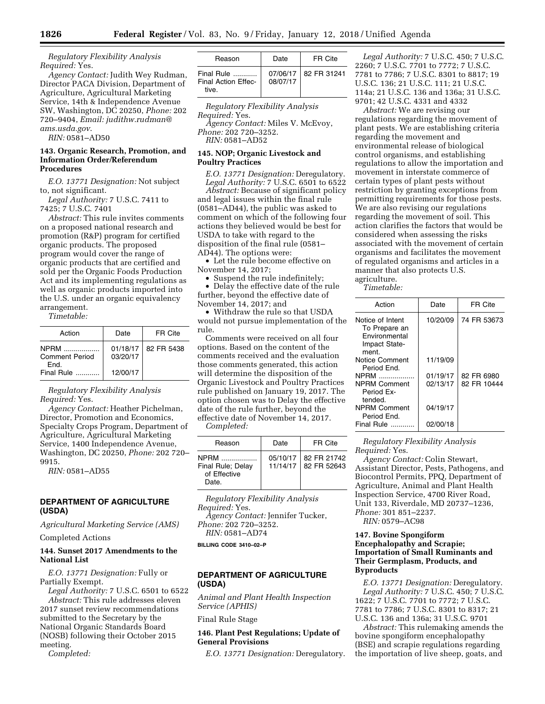*Regulatory Flexibility Analysis Required:* Yes.

*Agency Contact:* Judith Wey Rudman, Director PACA Division, Department of Agriculture, Agricultural Marketing Service, 14th & Independence Avenue SW, Washington, DC 20250, *Phone:* 202 720–9404, *Email: [judithw.rudman@](mailto:judithw.rudman@ams.usda.gov) [ams.usda.gov](mailto:judithw.rudman@ams.usda.gov)*.

*RIN:* 0581–AD50

## **143. Organic Research, Promotion, and Information Order/Referendum Procedures**

*E.O. 13771 Designation:* Not subject to, not significant.

*Legal Authority:* 7 U.S.C. 7411 to 7425; 7 U.S.C. 7401

*Abstract:* This rule invites comments on a proposed national research and promotion (R&P) program for certified organic products. The proposed program would cover the range of organic products that are certified and sold per the Organic Foods Production Act and its implementing regulations as well as organic products imported into the U.S. under an organic equivalency arrangement.

*Timetable:* 

| Action                                | Date                 | FR Cite    |
|---------------------------------------|----------------------|------------|
| NPRM<br><b>Comment Period</b><br>Fnd. | 01/18/17<br>03/20/17 | 82 FR 5438 |
| Final Rule                            | 12/00/17             |            |

*Regulatory Flexibility Analysis Required:* Yes.

*Agency Contact:* Heather Pichelman, Director, Promotion and Economics, Specialty Crops Program, Department of Agriculture, Agricultural Marketing Service, 1400 Independence Avenue, Washington, DC 20250, *Phone:* 202 720– 9915.

*RIN:* 0581–AD55

## **DEPARTMENT OF AGRICULTURE (USDA)**

*Agricultural Marketing Service (AMS)* 

Completed Actions

## **144. Sunset 2017 Amendments to the National List**

*E.O. 13771 Designation:* Fully or Partially Exempt.

*Legal Authority:* 7 U.S.C. 6501 to 6522 *Abstract:* This rule addresses eleven

2017 sunset review recommendations submitted to the Secretary by the National Organic Standards Board (NOSB) following their October 2015 meeting.

*Completed:* 

| Reason                                            | Date     | FR Cite                |
|---------------------------------------------------|----------|------------------------|
| Final Rule<br><b>Final Action Effec-</b><br>tive. | 08/07/17 | 07/06/17   82 FR 31241 |

*Regulatory Flexibility Analysis Required:* Yes. *Agency Contact:* Miles V. McEvoy,

*Phone:* 202 720–3252. *RIN:* 0581–AD52

#### **145. NOP; Organic Livestock and Poultry Practices**

*E.O. 13771 Designation:* Deregulatory. *Legal Authority:* 7 U.S.C. 6501 to 6522

*Abstract:* Because of significant policy and legal issues within the final rule (0581–AD44), the public was asked to comment on which of the following four actions they believed would be best for USDA to take with regard to the disposition of the final rule (0581– AD44). The options were:

• Let the rule become effective on November 14, 2017;

• Suspend the rule indefinitely; • Delay the effective date of the rule further, beyond the effective date of

November 14, 2017; and

• Withdraw the rule so that USDA would not pursue implementation of the rule.

Comments were received on all four options. Based on the content of the comments received and the evaluation those comments generated, this action will determine the disposition of the Organic Livestock and Poultry Practices rule published on January 19, 2017. The option chosen was to Delay the effective date of the rule further, beyond the effective date of November 14, 2017.

*Completed:* 

| Reason                                                    | Date                 | FR Cite                    |
|-----------------------------------------------------------|----------------------|----------------------------|
| <b>NPRM</b><br>Final Rule; Delay<br>of Effective<br>Date. | 05/10/17<br>11/14/17 | 82 FR 21742<br>82 FR 52643 |

*Regulatory Flexibility Analysis Required:* Yes. *Agency Contact:* Jennifer Tucker,

*Phone:* 202 720–3252. *RIN:* 0581–AD74

**BILLING CODE 3410–02–P** 

# **DEPARTMENT OF AGRICULTURE (USDA)**

*Animal and Plant Health Inspection Service (APHIS)* 

Final Rule Stage

# **146. Plant Pest Regulations; Update of General Provisions**

*E.O. 13771 Designation:* Deregulatory.

*Legal Authority:* 7 U.S.C. 450; 7 U.S.C. 2260; 7 U.S.C. 7701 to 7772; 7 U.S.C. 7781 to 7786; 7 U.S.C. 8301 to 8817; 19 U.S.C. 136; 21 U.S.C. 111; 21 U.S.C. 114a; 21 U.S.C. 136 and 136a; 31 U.S.C. 9701; 42 U.S.C. 4331 and 4332

*Abstract:* We are revising our regulations regarding the movement of plant pests. We are establishing criteria regarding the movement and environmental release of biological control organisms, and establishing regulations to allow the importation and movement in interstate commerce of certain types of plant pests without restriction by granting exceptions from permitting requirements for those pests. We are also revising our regulations regarding the movement of soil. This action clarifies the factors that would be considered when assessing the risks associated with the movement of certain organisms and facilitates the movement of regulated organisms and articles in a manner that also protects U.S. agriculture.

*Timetable:* 

| Action                                                                       | Date     | FR Cite     |
|------------------------------------------------------------------------------|----------|-------------|
| Notice of Intent<br>To Prepare an<br>Environmental<br>Impact State-<br>ment. | 10/20/09 | 74 FR 53673 |
| Notice Comment<br>Period End.                                                | 11/19/09 |             |
| <b>NPRM</b>                                                                  | 01/19/17 | 82 FR 6980  |
| <b>NPRM Comment</b><br>Period Ex-<br>tended.                                 | 02/13/17 | 82 FR 10444 |
| <b>NPRM Comment</b><br>Period End.                                           | 04/19/17 |             |
| Final Rule                                                                   | 02/00/18 |             |

*Regulatory Flexibility Analysis Required:* Yes.

*Agency Contact:* Colin Stewart, Assistant Director, Pests, Pathogens, and Biocontrol Permits, PPQ, Department of Agriculture, Animal and Plant Health Inspection Service, 4700 River Road, Unit 133, Riverdale, MD 20737–1236, *Phone:* 301 851–2237. *RIN:* 0579–AC98

# **147. Bovine Spongiform Encephalopathy and Scrapie; Importation of Small Ruminants and Their Germplasm, Products, and Byproducts**

*E.O. 13771 Designation:* Deregulatory. *Legal Authority:* 7 U.S.C. 450; 7 U.S.C. 1622; 7 U.S.C. 7701 to 7772; 7 U.S.C. 7781 to 7786; 7 U.S.C. 8301 to 8317; 21 U.S.C. 136 and 136a; 31 U.S.C. 9701

*Abstract:* This rulemaking amends the bovine spongiform encephalopathy (BSE) and scrapie regulations regarding the importation of live sheep, goats, and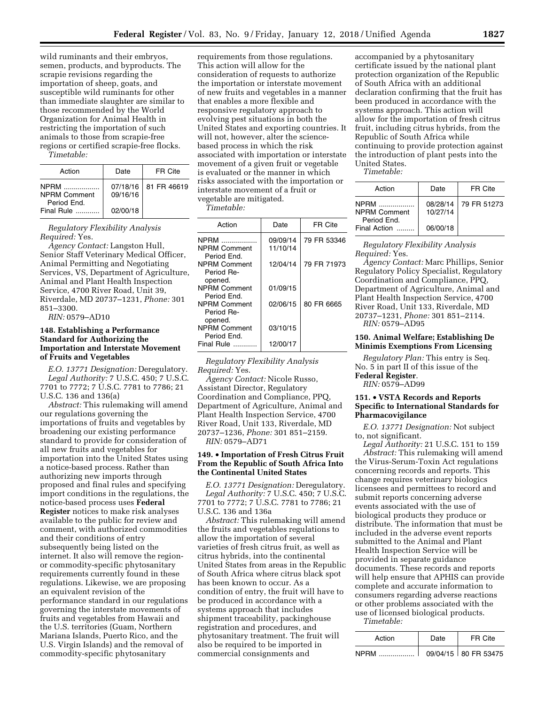wild ruminants and their embryos, semen, products, and byproducts. The scrapie revisions regarding the importation of sheep, goats, and susceptible wild ruminants for other than immediate slaughter are similar to those recommended by the World Organization for Animal Health in restricting the importation of such animals to those from scrapie-free regions or certified scrapie-free flocks.

*Timetable:* 

| Action                                                 | Date     | FR Cite                |
|--------------------------------------------------------|----------|------------------------|
| <b>NPRM</b><br>.<br><b>NPRM Comment</b><br>Period End. | 09/16/16 | 07/18/16   81 FR 46619 |
| Final Rule                                             | 02/00/18 |                        |

*Regulatory Flexibility Analysis Required:* Yes.

*Agency Contact:* Langston Hull, Senior Staff Veterinary Medical Officer, Animal Permitting and Negotiating Services, VS, Department of Agriculture, Animal and Plant Health Inspection Service, 4700 River Road, Unit 39, Riverdale, MD 20737–1231, *Phone:* 301 851–3300.

*RIN:* 0579–AD10

#### **148. Establishing a Performance Standard for Authorizing the Importation and Interstate Movement of Fruits and Vegetables**

*E.O. 13771 Designation:* Deregulatory. *Legal Authority:* 7 U.S.C. 450; 7 U.S.C. 7701 to 7772; 7 U.S.C. 7781 to 7786; 21 U.S.C. 136 and 136(a)

*Abstract:* This rulemaking will amend our regulations governing the importations of fruits and vegetables by broadening our existing performance standard to provide for consideration of all new fruits and vegetables for importation into the United States using a notice-based process. Rather than authorizing new imports through proposed and final rules and specifying import conditions in the regulations, the notice-based process uses **Federal Register** notices to make risk analyses available to the public for review and comment, with authorized commodities and their conditions of entry subsequently being listed on the internet. It also will remove the regionor commodity-specific phytosanitary requirements currently found in these regulations. Likewise, we are proposing an equivalent revision of the performance standard in our regulations governing the interstate movements of fruits and vegetables from Hawaii and the U.S. territories (Guam, Northern Mariana Islands, Puerto Rico, and the U.S. Virgin Islands) and the removal of commodity-specific phytosanitary

requirements from those regulations. This action will allow for the consideration of requests to authorize the importation or interstate movement of new fruits and vegetables in a manner that enables a more flexible and responsive regulatory approach to evolving pest situations in both the United States and exporting countries. It will not, however, alter the sciencebased process in which the risk associated with importation or interstate movement of a given fruit or vegetable is evaluated or the manner in which risks associated with the importation or interstate movement of a fruit or vegetable are mitigated.

*Timetable:* 

| Action                             | Date     | FR Cite     |
|------------------------------------|----------|-------------|
| <b>NPRM</b>                        | 09/09/14 | 79 FR 53346 |
| <b>NPRM Comment</b><br>Period End. | 11/10/14 |             |
| <b>NPRM Comment</b><br>Period Re-  | 12/04/14 | 79 FR 71973 |
| opened.                            |          |             |
| <b>NPRM Comment</b>                | 01/09/15 |             |
| Period End.                        |          |             |
| <b>NPRM Comment</b><br>Period Re-  | 02/06/15 | 80 FR 6665  |
| opened.                            |          |             |
| <b>NPRM Comment</b>                | 03/10/15 |             |
| Period End.                        |          |             |
| Final Rule                         | 12/00/17 |             |

*Regulatory Flexibility Analysis Required:* Yes.

*Agency Contact:* Nicole Russo, Assistant Director, Regulatory Coordination and Compliance, PPQ, Department of Agriculture, Animal and Plant Health Inspection Service, 4700 River Road, Unit 133, Riverdale, MD 20737–1236, *Phone:* 301 851–2159. *RIN:* 0579–AD71

#### **149.** • **Importation of Fresh Citrus Fruit From the Republic of South Africa Into the Continental United States**

*E.O. 13771 Designation:* Deregulatory. *Legal Authority:* 7 U.S.C. 450; 7 U.S.C. 7701 to 7772; 7 U.S.C. 7781 to 7786; 21 U.S.C. 136 and 136a

*Abstract:* This rulemaking will amend the fruits and vegetables regulations to allow the importation of several varieties of fresh citrus fruit, as well as citrus hybrids, into the continental United States from areas in the Republic of South Africa where citrus black spot has been known to occur. As a condition of entry, the fruit will have to be produced in accordance with a systems approach that includes shipment traceability, packinghouse registration and procedures, and phytosanitary treatment. The fruit will also be required to be imported in commercial consignments and

accompanied by a phytosanitary certificate issued by the national plant protection organization of the Republic of South Africa with an additional declaration confirming that the fruit has been produced in accordance with the systems approach. This action will allow for the importation of fresh citrus fruit, including citrus hybrids, from the Republic of South Africa while continuing to provide protection against the introduction of plant pests into the United States.

*Timetable:* 

| Action                                                     | Date                             | FR Cite     |
|------------------------------------------------------------|----------------------------------|-------------|
| NPRM<br><b>NPRM Comment</b><br>Period End.<br>Final Action | 08/28/14<br>10/27/14<br>06/00/18 | 79 FR 51273 |

*Regulatory Flexibility Analysis Required:* Yes.

*Agency Contact:* Marc Phillips, Senior Regulatory Policy Specialist, Regulatory Coordination and Compliance, PPQ, Department of Agriculture, Animal and Plant Health Inspection Service, 4700 River Road, Unit 133, Riverdale, MD 20737–1231, *Phone:* 301 851–2114. *RIN:* 0579–AD95

#### **150. Animal Welfare; Establishing De Minimis Exemptions From Licensing**

*Regulatory Plan:* This entry is Seq. No. 5 in part II of this issue of the **Federal Register**. *RIN:* 0579–AD99

**151.** • **VSTA Records and Reports** 

# **Specific to International Standards for Pharmacovigilance**

*E.O. 13771 Designation:* Not subject to, not significant.

*Legal Authority:* 21 U.S.C. 151 to 159 *Abstract:* This rulemaking will amend

the Virus-Serum-Toxin Act regulations concerning records and reports. This change requires veterinary biologics licensees and permittees to record and submit reports concerning adverse events associated with the use of biological products they produce or distribute. The information that must be included in the adverse event reports submitted to the Animal and Plant Health Inspection Service will be provided in separate guidance documents. These records and reports will help ensure that APHIS can provide complete and accurate information to consumers regarding adverse reactions or other problems associated with the use of licensed biological products. *Timetable:* 

| Action      | Date | FR Cite                |
|-------------|------|------------------------|
| <b>NPRM</b> |      | 09/04/15   80 FR 53475 |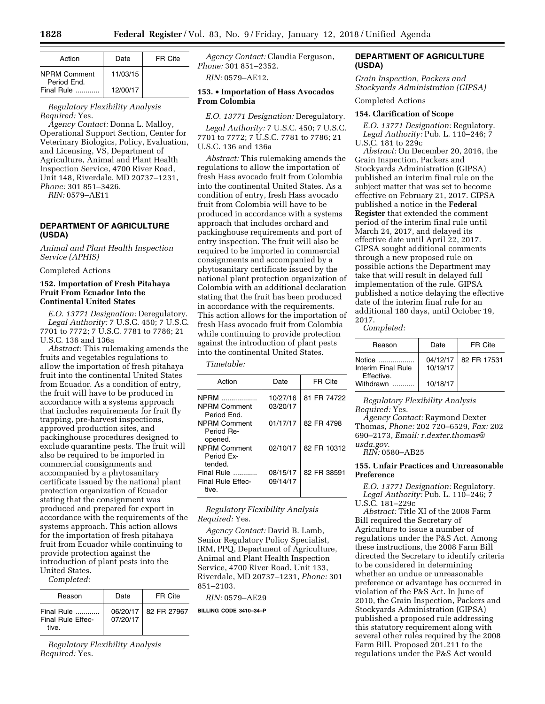| Action              | Date     | FR Cite |
|---------------------|----------|---------|
|                     |          |         |
| <b>NPRM Comment</b> | 11/03/15 |         |
| Period End.         |          |         |
| Final Rule          | 12/00/17 |         |

# *Regulatory Flexibility Analysis Required:* Yes.

*Agency Contact:* Donna L. Malloy, Operational Support Section, Center for Veterinary Biologics, Policy, Evaluation, and Licensing, VS, Department of Agriculture, Animal and Plant Health Inspection Service, 4700 River Road, Unit 148, Riverdale, MD 20737–1231, *Phone:* 301 851–3426.

*RIN:* 0579–AE11

# **DEPARTMENT OF AGRICULTURE (USDA)**

*Animal and Plant Health Inspection Service (APHIS)* 

Completed Actions

#### **152. Importation of Fresh Pitahaya Fruit From Ecuador Into the Continental United States**

*E.O. 13771 Designation:* Deregulatory. *Legal Authority:* 7 U.S.C. 450; 7 U.S.C. 7701 to 7772; 7 U.S.C. 7781 to 7786; 21 U.S.C. 136 and 136a

*Abstract:* This rulemaking amends the fruits and vegetables regulations to allow the importation of fresh pitahaya fruit into the continental United States from Ecuador. As a condition of entry, the fruit will have to be produced in accordance with a systems approach that includes requirements for fruit fly trapping, pre-harvest inspections, approved production sites, and packinghouse procedures designed to exclude quarantine pests. The fruit will also be required to be imported in commercial consignments and accompanied by a phytosanitary certificate issued by the national plant protection organization of Ecuador stating that the consignment was produced and prepared for export in accordance with the requirements of the systems approach. This action allows for the importation of fresh pitahaya fruit from Ecuador while continuing to provide protection against the introduction of plant pests into the United States.

*Completed:* 

| Reason                                          | Date     | FR Cite                |
|-------------------------------------------------|----------|------------------------|
| Final Rule<br><b>Final Rule Effec-</b><br>tive. | 07/20/17 | 06/20/17   82 FR 27967 |

*Regulatory Flexibility Analysis Required:* Yes.

*Agency Contact:* Claudia Ferguson, *Phone:* 301 851–2352.

*RIN:* 0579–AE12.

# **153.** • **Importation of Hass Avocados From Colombia**

*E.O. 13771 Designation:* Deregulatory. *Legal Authority:* 7 U.S.C. 450; 7 U.S.C. 7701 to 7772; 7 U.S.C. 7781 to 7786; 21 U.S.C. 136 and 136a

*Abstract:* This rulemaking amends the regulations to allow the importation of fresh Hass avocado fruit from Colombia into the continental United States. As a condition of entry, fresh Hass avocado fruit from Colombia will have to be produced in accordance with a systems approach that includes orchard and packinghouse requirements and port of entry inspection. The fruit will also be required to be imported in commercial consignments and accompanied by a phytosanitary certificate issued by the national plant protection organization of Colombia with an additional declaration stating that the fruit has been produced in accordance with the requirements. This action allows for the importation of fresh Hass avocado fruit from Colombia while continuing to provide protection against the introduction of plant pests into the continental United States.

#### *Timetable:*

| Action                                       | Date                 | FR Cite     |
|----------------------------------------------|----------------------|-------------|
| NPRM<br>NPRM Comment<br>Period Fnd.          | 10/27/16<br>03/20/17 | 81 FR 74722 |
| NPRM Comment<br>Period Re-<br>opened.        | 01/17/17             | 82 FR 4798  |
| <b>NPRM Comment</b><br>Period Fx-<br>tended. | 02/10/17             | 82 FR 10312 |
| Final Rule<br>Final Rule Fffec-<br>tive.     | 08/15/17<br>09/14/17 | 82 FR 38591 |
|                                              |                      |             |

*Regulatory Flexibility Analysis Required:* Yes.

*Agency Contact:* David B. Lamb, Senior Regulatory Policy Specialist, IRM, PPQ, Department of Agriculture, Animal and Plant Health Inspection Service, 4700 River Road, Unit 133, Riverdale, MD 20737–1231, *Phone:* 301 851–2103.

*RIN:* 0579–AE29

**BILLING CODE 3410–34–P** 

# **DEPARTMENT OF AGRICULTURE (USDA)**

*Grain Inspection, Packers and Stockyards Administration (GIPSA)* 

Completed Actions

#### **154. Clarification of Scope**

*E.O. 13771 Designation:* Regulatory. *Legal Authority:* Pub. L. 110–246; 7 U.S.C. 181 to 229c

*Abstract:* On December 20, 2016, the Grain Inspection, Packers and Stockyards Administration (GIPSA) published an interim final rule on the subject matter that was set to become effective on February 21, 2017. GIPSA published a notice in the **Federal Register** that extended the comment period of the interim final rule until March 24, 2017, and delayed its effective date until April 22, 2017. GIPSA sought additional comments through a new proposed rule on possible actions the Department may take that will result in delayed full implementation of the rule. GIPSA published a notice delaying the effective date of the interim final rule for an additional 180 days, until October 19, 2017.

## *Completed:*

| Reason                                     | Date                 | FR Cite     |
|--------------------------------------------|----------------------|-------------|
| Notice<br>Interim Final Rule<br>Fffective. | 04/12/17<br>10/19/17 | 82 FR 17531 |
| Withdrawn                                  | 10/18/17             |             |

*Regulatory Flexibility Analysis Required:* Yes.

*Agency Contact:* Raymond Dexter Thomas, *Phone:* 202 720–6529, *Fax:* 202 690–2173, *Email: [r.dexter.thomas@](mailto:r.dexter.thomas@usda.gov)*

*[usda.gov.](mailto:r.dexter.thomas@usda.gov) RIN:* 0580–AB25

#### **155. Unfair Practices and Unreasonable Preference**

*E.O. 13771 Designation:* Regulatory. *Legal Authority:* Pub. L. 110–246; 7 U.S.C. 181–229c

*Abstract:* Title XI of the 2008 Farm Bill required the Secretary of Agriculture to issue a number of regulations under the P&S Act. Among these instructions, the 2008 Farm Bill directed the Secretary to identify criteria to be considered in determining whether an undue or unreasonable preference or advantage has occurred in violation of the P&S Act. In June of 2010, the Grain Inspection, Packers and Stockyards Administration (GIPSA) published a proposed rule addressing this statutory requirement along with several other rules required by the 2008 Farm Bill. Proposed 201.211 to the regulations under the P&S Act would